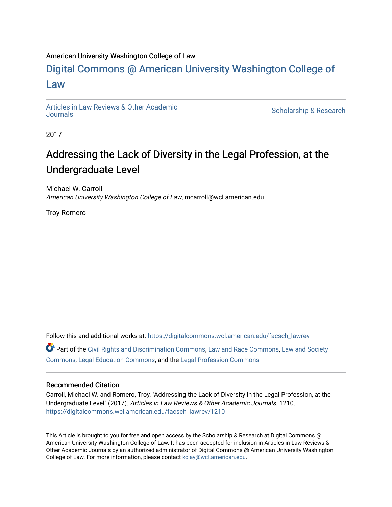#### American University Washington College of Law

# [Digital Commons @ American University Washington College of](https://digitalcommons.wcl.american.edu/)  [Law](https://digitalcommons.wcl.american.edu/)

[Articles in Law Reviews & Other Academic](https://digitalcommons.wcl.american.edu/facsch_lawrev) 

Scholarship & Research

2017

# Addressing the Lack of Diversity in the Legal Profession, at the Undergraduate Level

Michael W. Carroll American University Washington College of Law, mcarroll@wcl.american.edu

Troy Romero

Follow this and additional works at: [https://digitalcommons.wcl.american.edu/facsch\\_lawrev](https://digitalcommons.wcl.american.edu/facsch_lawrev?utm_source=digitalcommons.wcl.american.edu%2Ffacsch_lawrev%2F1210&utm_medium=PDF&utm_campaign=PDFCoverPages)  Part of the [Civil Rights and Discrimination Commons,](http://network.bepress.com/hgg/discipline/585?utm_source=digitalcommons.wcl.american.edu%2Ffacsch_lawrev%2F1210&utm_medium=PDF&utm_campaign=PDFCoverPages) [Law and Race Commons,](http://network.bepress.com/hgg/discipline/1300?utm_source=digitalcommons.wcl.american.edu%2Ffacsch_lawrev%2F1210&utm_medium=PDF&utm_campaign=PDFCoverPages) [Law and Society](http://network.bepress.com/hgg/discipline/853?utm_source=digitalcommons.wcl.american.edu%2Ffacsch_lawrev%2F1210&utm_medium=PDF&utm_campaign=PDFCoverPages) 

[Commons](http://network.bepress.com/hgg/discipline/853?utm_source=digitalcommons.wcl.american.edu%2Ffacsch_lawrev%2F1210&utm_medium=PDF&utm_campaign=PDFCoverPages), [Legal Education Commons](http://network.bepress.com/hgg/discipline/857?utm_source=digitalcommons.wcl.american.edu%2Ffacsch_lawrev%2F1210&utm_medium=PDF&utm_campaign=PDFCoverPages), and the [Legal Profession Commons](http://network.bepress.com/hgg/discipline/1075?utm_source=digitalcommons.wcl.american.edu%2Ffacsch_lawrev%2F1210&utm_medium=PDF&utm_campaign=PDFCoverPages)

#### Recommended Citation

Carroll, Michael W. and Romero, Troy, "Addressing the Lack of Diversity in the Legal Profession, at the Undergraduate Level" (2017). Articles in Law Reviews & Other Academic Journals. 1210. [https://digitalcommons.wcl.american.edu/facsch\\_lawrev/1210](https://digitalcommons.wcl.american.edu/facsch_lawrev/1210?utm_source=digitalcommons.wcl.american.edu%2Ffacsch_lawrev%2F1210&utm_medium=PDF&utm_campaign=PDFCoverPages)

This Article is brought to you for free and open access by the Scholarship & Research at Digital Commons @ American University Washington College of Law. It has been accepted for inclusion in Articles in Law Reviews & Other Academic Journals by an authorized administrator of Digital Commons @ American University Washington College of Law. For more information, please contact [kclay@wcl.american.edu](mailto:kclay@wcl.american.edu).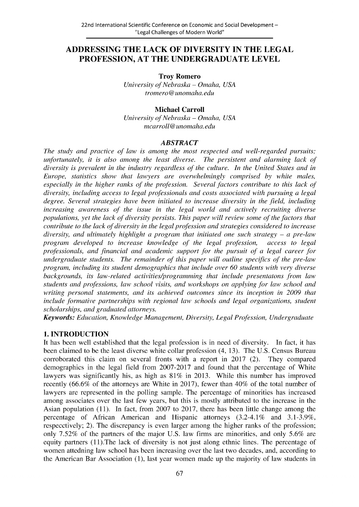# **ADDRESSING THE LACK OF DIVERSITY IN THE LEGAL PROFESSION, AT THE UNDERGRADUATE LEVEL**

**Troy Romero**

*University of Nebraska* **-** *Omaha, USA tromero @unomaha.edu*

### **Michael Carroll**

*University of Nebraska* **-** *Omaha, USA mcarroll@unomaha.edu*

#### *ABSTRACT*

*The study and practice of law is among the most respected and well-regarded pursuits; unfortunately, it is also among the least diverse. The persistent and alarming lack of diversity is prevalent in the industry regardless of the culture. In the United States and in Europe, statistics show that lawyers are overwhelmingly comprised by white males, especially in the higher ranks of the profession. Several factors contribute to this lack of diversity, including access to legal professionals and costs associated with pursuing a legal degree. Several strategies have been initiated to increase diversity in the field, including increasing awareness of the issue in the legal world and actively recruiting diverse populations, yet the lack of diversity persists. This paper will review some of the factors that contribute to the lack of diversity in the legal profession and strategies considered to increase diversity, and ultimately highlight a program that initiated one such strategy – a pre-law program developed to increase knowledge of the legal profession, access to legal professionals, and financial and academic support for the pursuit of a legal career for undergraduate students. The remainder of this paper will outline specifics of the pre-law program, including its student demographics that include over 60 students with very diverse backgrounds, its law-related activities/programming that include presentatons from law students and professions, law school visits, and workshops on applying for law school and writing personal statements, and its achieved outcomes since its inception in 2009 that include formative partnerships with regional law schools and legal organizations, student scholarships, and graduated attorneys.*

*Keywords: Education, Knowledge Management, Diversity, Legal Profession, Undergraduate*

#### **1. INTRODUCTION**

It has been well established that the legal profession is in need of diversity. In fact, it has been claimed to be the least diverse white collar profession (4, **13).** The **U.S.** Census Bureau corroborated this claim on several fronts with a report in **2017** (2). They compared demographics in the legal field from **2007-2017** and found that the percentage of White lawyers was significantly his, as high as **81%** in **2013.** While this number has improved recently **(66.6%** of the attorneys are White in **2017),** fewer than 40% of the total number of lawyers are represented in the polling sample. The percentage of minorities has increased among associates over the last few years, but this is mostly attributed to the increase in the Asian population **(11).** In fact, from **2007** to **2017,** there has been little change among the percentage of African American and Hispanic attorneys (3.2-4.1% and **3.1-3.9%,** respecctively; 2). The discrepancy is even larger among the higher ranks of the profession; only *7.52%* of the partners of the major **U.S.** law firms are minorities, and only *5.6%* are equity partners **(1** 1).The lack of diversity is not just along ethnic lines. The percentage of women attedning law school has been increasing over the last two decades, and, according to the American Bar Association **(1),** last year women made up the majority of law students in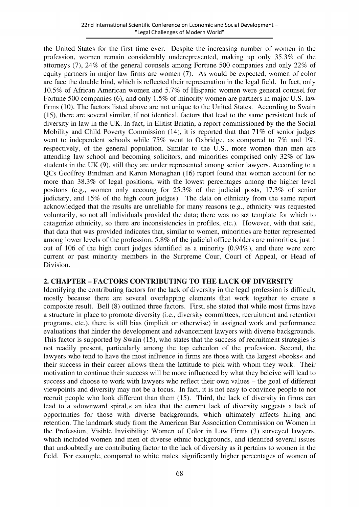the United States for the first time ever. Despite the increasing number of women in the profession, women remain considerably underepresented, making up only *35.3%* of the attorneys **(7),** 24% of the general counsels among Fortune **500** companies and only 22% of equity partners in major law firms are women **(7).** As would be expected, women of color are face the double bind, which is reflected their represenation in the legal field. In fact, only **10.5%** of African American women and *5.7%* of Hispanic women were general counsel for Fortune **500** companies **(6),** and only *1.5%* of minority women are partners in major **U.S.** law firms **(10).** The factors listed above are not unique to the United States. According to Swain *(15),* there are several similar, if not identical, factors that lead to the same persistent lack of diversity in law in the **UK.** In fact, in Elitist Briatin, a report commissioned **by** the the Social Mobility and Child Poverty Commission (14), it is reported that that **71%** of senior judges went to independent schools while **75%** went to Oxbridge, as compared to **7%** and **1%,** respectively, of the general population. Similar to the **U.S.,** more women than men are attending law school and becoming solicitors, and minorities comprised only **32%** of law students in the **UK (9),** still they are under represented among senior lawyers. According to a QCs Geoffrey Bindman and Karon Monaghan **(16)** report found that women account for no more than **38.3%** of legal positions, with the lowest percentages among the higher level positons (e.g., women only accoung for **25.3%** of the judicial posts, **17.3%** of senior judiciary, and **15%** of the high court judges). The data on ethnicity from the same report acknowledged that the results are unreliable for many reasons (e.g., ethnicity was requested voluntarily, so not all individuals provided the data; there was no set template for which to catagorize ethnicity, so there are inconsistencies in profiles, etc.). However, with that said, that data that was provided indicates that, similar to women, minorities are better represented among lower levels of the profession. **5.8%** of the judicial office holders are minorities, just **<sup>1</sup>** out of **106** of the high court judges identified as a minority (0.94%), and there were zero current or past minority members in the Surpreme Cour, Court of Appeal, or Head of Division.

#### **2. CHAPTER - FACTORS CONTRIBUTING TO THE LACK OF DIVERSITY**

Identifying the contributing factors for the lack of diversity in the legal profession is difficult, mostly because there are several overlapping elements that work together to create a composite result. Bell **(8)** outlined three factors. First, she stated that while most firms have a structure in place to promote diversity (i.e., diversity committees, recruitment and retention programs, etc.), there is still bias (implicit or otherwise) in assigned work and performance evaluations that hinder the development and advancement lawyers with diverse backgrounds. This factor is supported **by** Swain **(15),** who states that the success of recruitment strategies is not readily present, particularly among the top echeolon of the profession. Second, the lawyers who tend to have the most influence in firms are those with the largest »books« and their success in their career allows them the lattitude to pick with whom they work. Their motivation to continue their success will be more influenced **by** what they beleive will lead to success and choose to work with lawyers who reflect their own values **-** the goal of different viewpoints and diversity may not be a focus. In fact, it is not easy to convince people to not recruit people who look different than them **(15).** Third, the lack of diversity in firms can lead to a »downward spiral,« an idea that the current lack of diversity suggests a lack of opportunties for those with diverse backgrounds, which ultimately affects hiring and retention. The landmark study from the American Bar Association Commission on Women in the Profession, Visible Invisibility: Women of Color in Law Firms **(3)** surveyed lawyers, which included women and men of diverse ethnic backgrounds, and identifed several issues that undoubtedly are contributing factor to the lack of diversity as it pertains to women in the field. For example, compared to white males, significantly higher percentages of women of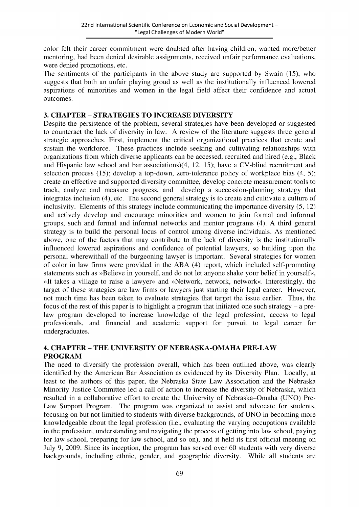color felt their career commitment were doubted after having children, wanted more/better mentoring, had been denied desirable assignments, received unfair performance evaluations, were denied promotions, etc.

The sentiments of the participants in the above study are supported **by** Swain **(15),** who suggests that both an unfair playing groud as well as the institutionally influenced lowered aspirations of minorities and women in the legal field affect their confidence and actual outcomes.

### **3. CHAPTER - STRATEGIES TO INCREASE DIVERSITY**

Despite the persistence of the problem, several strategies have been developed or suggested to counteract the lack of diversity in law. **A** review of the literature suggests three general strategic approaches. First, implement the critical organizational practices that create and sustain the workforce. These practices include seeking and cultivating relationships with organizations from which diverse applicants can be accessed, recruited and hired (e.g., Black and Hispanic law school and bar associations)(4, 12, **15);** have a CV-blind recruitment and selection process **(15);** develop a top-down, zero-tolerance policy of workplace bias (4, **5);** create an effective and supported diversity committee, develop concrete measurement tools to track, analyze and measure progress, and develop a succession-planning strategy that integrates inclusion (4), etc. The second general strategy is to create and cultivate a culture of inclusivity. Elements of this strategy include communicating the importance diversity **(5,** 12) and actively develop and encourage minorities and women to join formal and informal groups, such and formal and informal networks and mentor programs (4). **A** third general strategy is to build the personal locus of control among diverse individuals. As mentioned above, one of the factors that may contribute to the lack of diversity is the institutionally influenced lowered aspirations and confidence of potential lawyers, so building upon the personal wherewithall of the burgeoning lawyer is important. Several strategies for women of color in law firms were provided in the **ABA** (4) report, which included self-promoting statements such as »Believe in yourself, and do not let anyone shake your belief in yourself«, 4It takes a village to raise a lawyer< and >Network, network, network<. Interestingly, the target of these strategies are law firms or lawyers just starting their legal career. However, not much time has been taken to evaluate strategies that target the issue earlier. Thus, the focus of the rest of this paper is to highlight a program that initiated one such strategy **-** a prelaw program developed to increase knowledge of the legal profession, access to legal professionals, and financial and academic support for pursuit to legal career for undergraduates.

## **4. CHAPTER - THE UNIVERSITY OF NEBRASKA-OMAHA PRE-LAW PROGRAM**

The need to diversify the profession overall, which has been outlined above, was clearly identified **by** the American Bar Association as evidenced **by** its Diversity Plan. Locally, at least to the authors of this paper, the Nebraska State Law Association and the Nebraska Minority Justice Committee led a call of action to increase the diversity of Nebraska, which resulted in a collaborative effort to create the University of Nebraska-Omaha **(UNO)** Pre-Law Support Program. The program was organized to assist and advocate for students, focusing on but not limitied to students with diverse backgrounds, of **UNO** in becoming more knowledgeable about the legal profession (i.e., evaluating the varying occupations available in the profession, understanding and navigating the process of getting into law school, paying for law school, preparing for law school, and so on), and it held its first official meeting on July **9, 2009.** Since its inception, the program has served over **60** students with very diverse backgrounds, including ethnic, gender, and geographic diversity. While all students are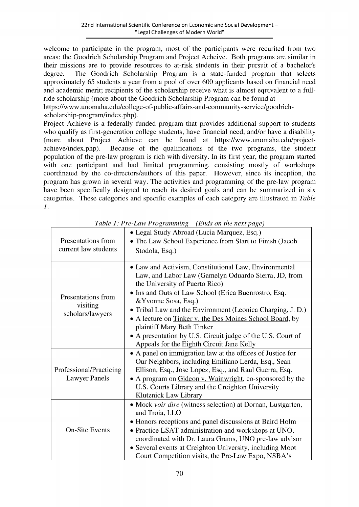welcome to participate in the program, most of the participants were recurited from two areas: the Goodrich Scholarship Program and Project Acheive. Both programs are similar in their missions are to provide resources to at-risk students in their pursuit of a bachelor's degree. The Goodrich Scholarship Program is a state-funded program that selects approximately *65* students a year from a pool of over **600** applicants based on financial need and academic merit; recipients of the scholarship receive what is almost equivalent to a **full**ride scholarship (more about the Goodrich Scholarship Program can be found at https://www.unomaha.edu/college-of-public-affairs-and-community-service/goodrich-

scholarship-program/index.php).

Project Achieve is a federally funded program that provides additional support to students who qualify as first-generation college students, have financial need, and/or have a disability (more about Project Achieve can be found at https://www.unomaha.edu/projectachieve/index.php). Because of the qualifications of the two programs, the student population of the pre-law program is rich with diversity. In its first year, the program started with one participant and had limited programming, consisting mostly of workshops coordinated **by** the co-directors/authors of this paper. However, since its inception, the program has grown in several way. The activities and programming of the pre-law program have been specifically designed to reach its desired goals and can be summarized in six categories. These categories and specific examples of each category are illustrated in *Table 1.*

| Presentations from<br>current law students         | • Legal Study Abroad (Lucia Marquez, Esq.)<br>• The Law School Experience from Start to Finish (Jacob<br>Stodola, Esq.)                                                                                                                                                                                                                                                                                                                                                                             |
|----------------------------------------------------|-----------------------------------------------------------------------------------------------------------------------------------------------------------------------------------------------------------------------------------------------------------------------------------------------------------------------------------------------------------------------------------------------------------------------------------------------------------------------------------------------------|
| Presentations from<br>visiting<br>scholars/lawyers | • Law and Activism, Constitutional Law, Environmental<br>Law, and Labor Law (Gamelyn Oduardo Sierra, JD, from<br>the University of Puerto Rico)<br>• Ins and Outs of Law School (Erica Buenrostro, Esq.<br>& Yvonne Sosa, Esq.)<br>• Tribal Law and the Environment (Leonica Charging, J. D.)<br>• A lecture on Tinker v. the Des Moines School Board, by<br>plaintiff Mary Beth Tinker<br>• A presentation by U.S. Circuit judge of the U.S. Court of<br>Appeals for the Eighth Circuit Jane Kelly |
| Professional/Practicing<br>Lawyer Panels           | • A panel on immigration law at the offices of Justice for<br>Our Neighbors, including Emiliano Lerda, Esq., Sean<br>Ellison, Esq., Jose Lopez, Esq., and Raul Guerra, Esq.<br>• A program on Gideon v. Wainwright, co-sponsored by the<br>U.S. Courts Library and the Creighton University<br>Klutznick Law Library                                                                                                                                                                                |
| <b>On-Site Events</b>                              | • Mock voir dire (witness selection) at Dornan, Lustgarten,<br>and Troia, LLO<br>• Honors receptions and panel discussions at Baird Holm<br>• Practice LSAT administration and workshops at UNO,<br>coordinated with Dr. Laura Grams, UNO pre-law advisor<br>• Several events at Creighton University, including Moot<br>Court Competition visits, the Pre-Law Expo, NSBA's                                                                                                                         |

*Table 1: Pre-Law Programming* **-** *(Ends on the next page)*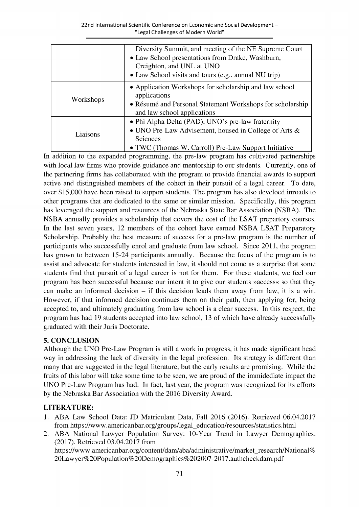|           | Diversity Summit, and meeting of the NE Supreme Court<br>• Law School presentations from Drake, Washburn,<br>Creighton, and UNL at UNO<br>• Law School visits and tours (e.g., annual NU trip) |
|-----------|------------------------------------------------------------------------------------------------------------------------------------------------------------------------------------------------|
| Workshops | • Application Workshops for scholarship and law school<br>applications<br>• Résumé and Personal Statement Workshops for scholarship<br>and law school applications                             |
| Liaisons  | • Phi Alpha Delta (PAD), UNO's pre-law fraternity<br>• UNO Pre-Law Advisement, housed in College of Arts $\&$<br>Sciences<br>• TWC (Thomas W. Carroll) Pre-Law Support Initiative              |

In addition to the expanded programming, the pre-law program has cultivated partnerships with local law firms who provide guidance and mentorship to our students. Currently, one of the partnering firms has collaborated with the program to provide financial awards to support active and distinguished members of the cohort in their pursuit of a legal career. To date, over **\$15,000** have been raised to support students. The program has also develoed inroads to other programs that are dedicated to the same or similar mission. Specifically, this program has leveraged the support and resources of the Nebraska State Bar Association **(NSBA).** The **NSBA** annually provides a scholarship that covers the cost of the **LSAT** prepartory courses. In the last seven years, 12 members of the cohort have earned **NSBA LSAT** Preparatory Scholarship. Probably the best measure of success for a pre-law program is the number of participants who successfully enrol and graduate from law school. Since **2011,** the program has grown to between 15-24 participants annually. Because the focus of the program is to assist and advocate for students interested in law, it should not come as a surprise that some students find that pursuit of a legal career is not for them. For these students, we feel our program has been successful because our intent it to give our students »access« so that they can make an informed decision **-** if this decision leads them away from law, it is a win. However, if that informed decision continues them on their path, then applying for, being accepted to, and ultimately graduating from law school is a clear success. In this respect, the program has had **19** students accepted into law school, **13** of which have already successfully graduated with their Juris Doctorate.

#### **5. CONCLUSION**

Although the **UNO** Pre-Law Program is still a work in progress, it has made significant head way in addressing the lack of diversity in the legal profession. Its strategy is different than many that are suggested in the legal literature, but the early results are promising. While the fruits of this labor will take some time to be seen, we are proud of the immidediate impact the **UNO** Pre-Law Program has had. In fact, last year, the program was recognized for its efforts **by** the Nebraska Bar Association with the **2016** Diversity Award.

## **LITERATURE:**

- **1. ABA** Law School Data: **JD** Matriculant Data, Fall **2016 (2016).** Retrieved 06.04.2017 from https://www.americanbar.org/groups/legal-education/resources/statistics.html
- 2. **ABA** National Lawyer Population Survey: 10-Year Trend in Lawyer Demographics. **(2017).** Retrieved 03.04.2017 from https://www.americanbar.org/content/dam/aba/administrative/market-research/National%

20Lawyer%2OPopulation%2ODemographics%202007-2017.authcheckdam.pdf